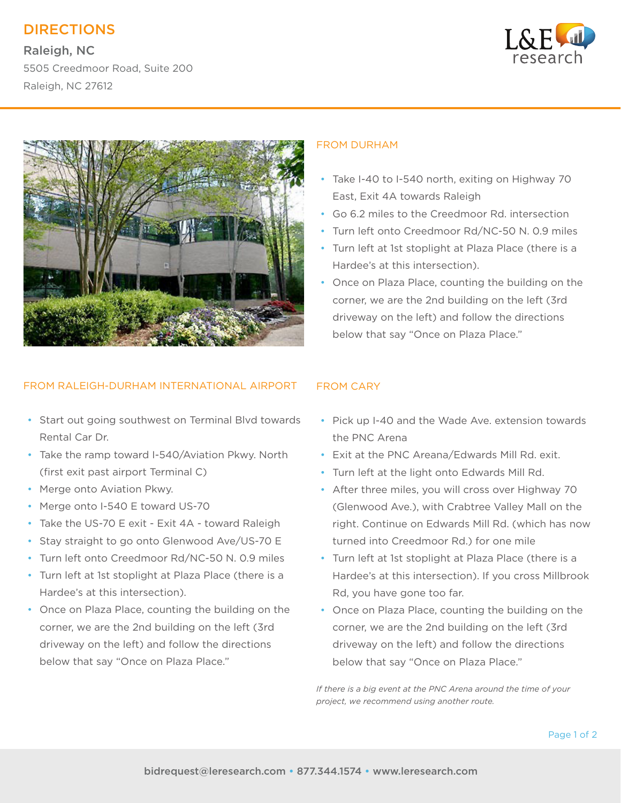# DIRECTIONS

Raleigh, NC 5505 Creedmoor Road, Suite 200 Raleigh, NC 27612





## FROM RALEIGH-DURHAM INTERNATIONAL AIRPORT

- Start out going southwest on Terminal Blvd towards Rental Car Dr.
- Take the ramp toward I-540/Aviation Pkwy. North (first exit past airport Terminal C)
- Merge onto Aviation Pkwy.
- Merge onto I-540 E toward US-70
- Take the US-70 E exit Exit 4A toward Raleigh
- Stay straight to go onto Glenwood Ave/US-70 E
- Turn left onto Creedmoor Rd/NC-50 N. 0.9 miles
- Turn left at 1st stoplight at Plaza Place (there is a Hardee's at this intersection).
- Once on Plaza Place, counting the building on the corner, we are the 2nd building on the left (3rd driveway on the left) and follow the directions below that say "Once on Plaza Place."

### FROM DURHAM

- Take I-40 to I-540 north, exiting on Highway 70 East, Exit 4A towards Raleigh
- Go 6.2 miles to the Creedmoor Rd. intersection
- Turn left onto Creedmoor Rd/NC-50 N. 0.9 miles
- Turn left at 1st stoplight at Plaza Place (there is a Hardee's at this intersection).
- Once on Plaza Place, counting the building on the corner, we are the 2nd building on the left (3rd driveway on the left) and follow the directions below that say "Once on Plaza Place."

## FROM CARY

- Pick up I-40 and the Wade Ave. extension towards the PNC Arena
- Exit at the PNC Areana/Edwards Mill Rd. exit.
- Turn left at the light onto Edwards Mill Rd.
- After three miles, you will cross over Highway 70 (Glenwood Ave.), with Crabtree Valley Mall on the right. Continue on Edwards Mill Rd. (which has now turned into Creedmoor Rd.) for one mile
- Turn left at 1st stoplight at Plaza Place (there is a Hardee's at this intersection). If you cross Millbrook Rd, you have gone too far.
- Once on Plaza Place, counting the building on the corner, we are the 2nd building on the left (3rd driveway on the left) and follow the directions below that say "Once on Plaza Place."

*If there is a big event at the PNC Arena around the time of your project, we recommend using another route.*